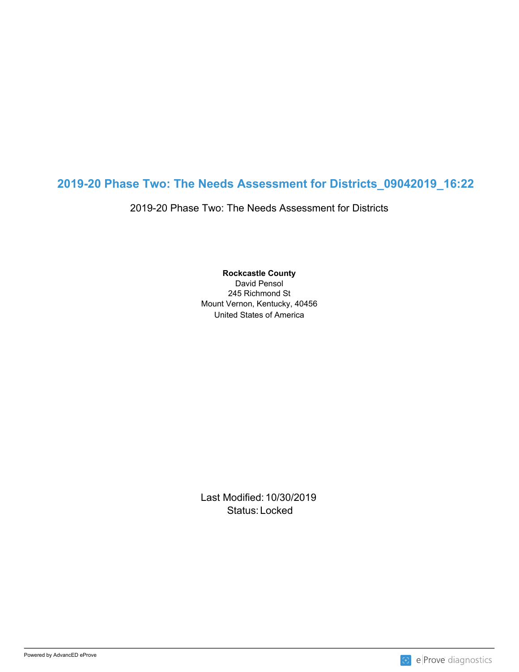## **2019-20 Phase Two: The Needs Assessment for Districts\_09042019\_16:22**

2019-20 Phase Two: The Needs Assessment for Districts

United States of America **Rockcastle County** David Pensol 245 Richmond St Mount Vernon, Kentucky, 40456

Last Modified: 10/30/2019 Status: Locked and the status of the status of the status of the status of the status of the status of the status of the status of the status of the status of the status of the status of the status of the status of the sta

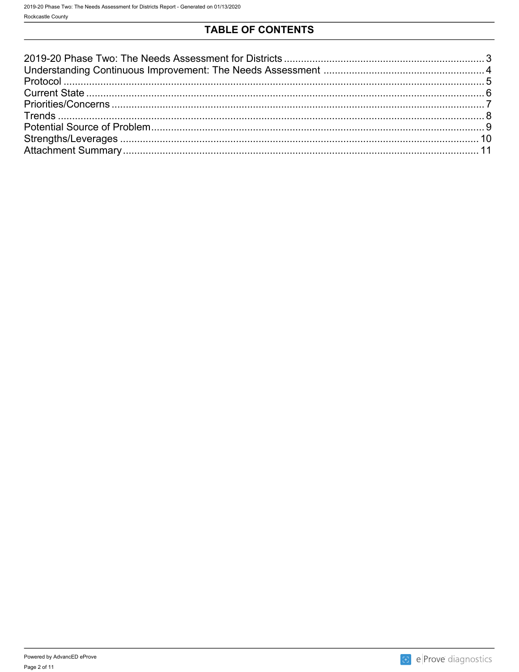## **TABLE OF CONTENTS**

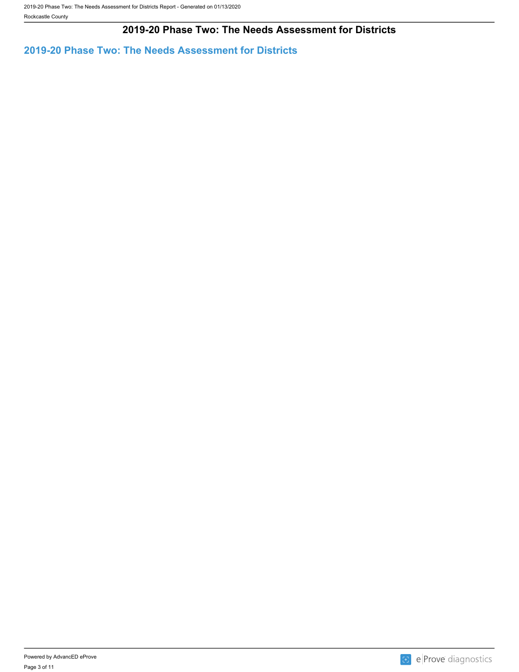### **2019-20 Phase Two: The Needs Assessment for Districts**

<span id="page-2-0"></span>**2019-20 Phase Two: The Needs Assessment for Districts**

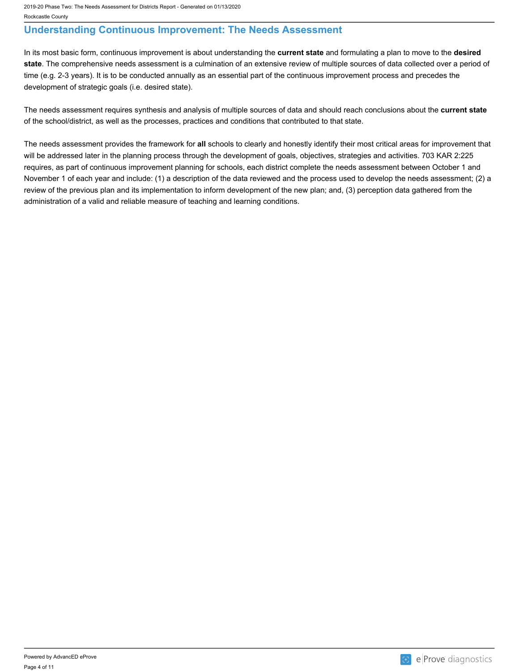### <span id="page-3-0"></span>**Understanding Continuous Improvement: The Needs Assessment**

In its most basic form, continuous improvement is about understanding the **current state** and formulating a plan to move to the **desired state**. The comprehensive needs assessment is a culmination of an extensive review of multiple sources of data collected over a period of time (e.g. 2-3 years). It is to be conducted annually as an essential part of the continuous improvement process and precedes the development of strategic goals (i.e. desired state).

The needs assessment requires synthesis and analysis of multiple sources of data and should reach conclusions about the **current state** of the school/district, as well as the processes, practices and conditions that contributed to that state.

The needs assessment provides the framework for **all** schools to clearly and honestly identify their most critical areas for improvement that will be addressed later in the planning process through the development of goals, objectives, strategies and activities. 703 KAR 2:225 requires, as part of continuous improvement planning for schools, each district complete the needs assessment between October 1 and November 1 of each year and include: (1) a description of the data reviewed and the process used to develop the needs assessment; (2) a review of the previous plan and its implementation to inform development of the new plan; and, (3) perception data gathered from the administration of a valid and reliable measure of teaching and learning conditions.

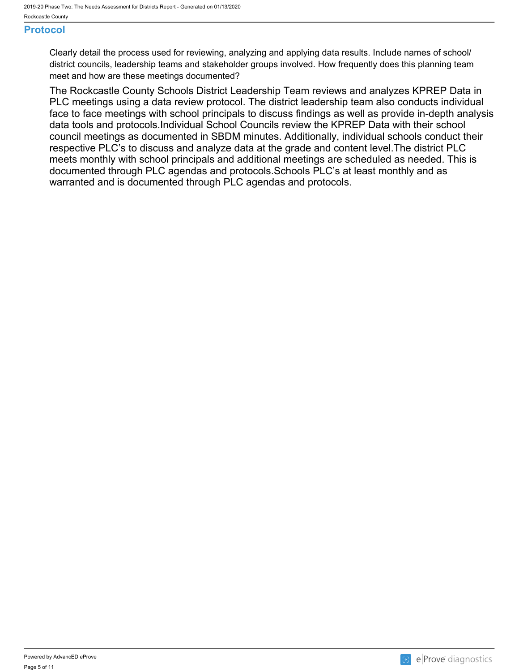### <span id="page-4-0"></span>**Protocol**

Clearly detail the process used for reviewing, analyzing and applying data results. Include names of school/ district councils, leadership teams and stakeholder groups involved. How frequently does this planning team meet and how are these meetings documented?

The Rockcastle County Schools District Leadership Team reviews and analyzes KPREP Data in PLC meetings using a data review protocol. The district leadership team also conducts individual face to face meetings with school principals to discuss findings as well as provide in-depth analysis data tools and protocols.Individual School Councils review the KPREP Data with their school council meetings as documented in SBDM minutes. Additionally, individual schools conduct their respective PLC's to discuss and analyze data at the grade and content level.The district PLC meets monthly with school principals and additional meetings are scheduled as needed. This is documented through PLC agendas and protocols.Schools PLC's at least monthly and as warranted and is documented through PLC agendas and protocols.

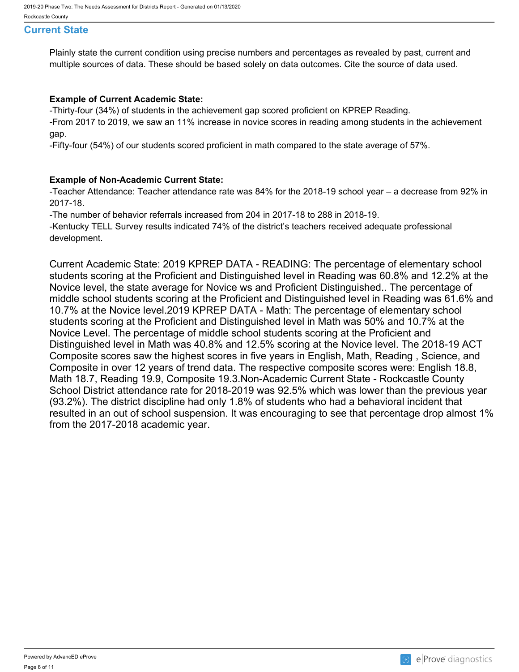#### <span id="page-5-0"></span>**Current State**

Plainly state the current condition using precise numbers and percentages as revealed by past, current and multiple sources of data. These should be based solely on data outcomes. Cite the source of data used.

#### **Example of Current Academic State:**

-Thirty-four (34%) of students in the achievement gap scored proficient on KPREP Reading.

-From 2017 to 2019, we saw an 11% increase in novice scores in reading among students in the achievement gap.

-Fifty-four (54%) of our students scored proficient in math compared to the state average of 57%.

#### **Example of Non-Academic Current State:**

-Teacher Attendance: Teacher attendance rate was 84% for the 2018-19 school year – a decrease from 92% in 2017-18.

-The number of behavior referrals increased from 204 in 2017-18 to 288 in 2018-19.

-Kentucky TELL Survey results indicated 74% of the district's teachers received adequate professional development.

Current Academic State: 2019 KPREP DATA - READING: The percentage of elementary school students scoring at the Proficient and Distinguished level in Reading was 60.8% and 12.2% at the Novice level, the state average for Novice ws and Proficient Distinguished.. The percentage of middle school students scoring at the Proficient and Distinguished level in Reading was 61.6% and 10.7% at the Novice level.2019 KPREP DATA - Math: The percentage of elementary school students scoring at the Proficient and Distinguished level in Math was 50% and 10.7% at the Novice Level. The percentage of middle school students scoring at the Proficient and Distinguished level in Math was 40.8% and 12.5% scoring at the Novice level. The 2018-19 ACT Composite scores saw the highest scores in five years in English, Math, Reading , Science, and Composite in over 12 years of trend data. The respective composite scores were: English 18.8, Math 18.7, Reading 19.9, Composite 19.3.Non-Academic Current State - Rockcastle County School District attendance rate for 2018-2019 was 92.5% which was lower than the previous year (93.2%). The district discipline had only 1.8% of students who had a behavioral incident that resulted in an out of school suspension. It was encouraging to see that percentage drop almost 1% from the 2017-2018 academic year.

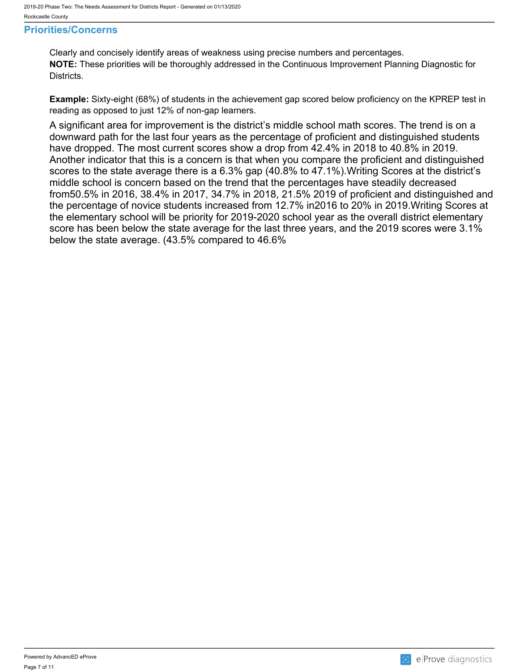#### <span id="page-6-0"></span>**Priorities/Concerns**

Clearly and concisely identify areas of weakness using precise numbers and percentages. **NOTE:** These priorities will be thoroughly addressed in the Continuous Improvement Planning Diagnostic for Districts.

**Example:** Sixty-eight (68%) of students in the achievement gap scored below proficiency on the KPREP test in reading as opposed to just 12% of non-gap learners.

A significant area for improvement is the district's middle school math scores. The trend is on a downward path for the last four years as the percentage of proficient and distinguished students have dropped. The most current scores show a drop from 42.4% in 2018 to 40.8% in 2019. Another indicator that this is a concern is that when you compare the proficient and distinguished scores to the state average there is a 6.3% gap (40.8% to 47.1%).Writing Scores at the district's middle school is concern based on the trend that the percentages have steadily decreased from50.5% in 2016, 38.4% in 2017, 34.7% in 2018, 21.5% 2019 of proficient and distinguished and the percentage of novice students increased from 12.7% in2016 to 20% in 2019.Writing Scores at the elementary school will be priority for 2019-2020 school year as the overall district elementary score has been below the state average for the last three years, and the 2019 scores were 3.1% below the state average. (43.5% compared to 46.6%

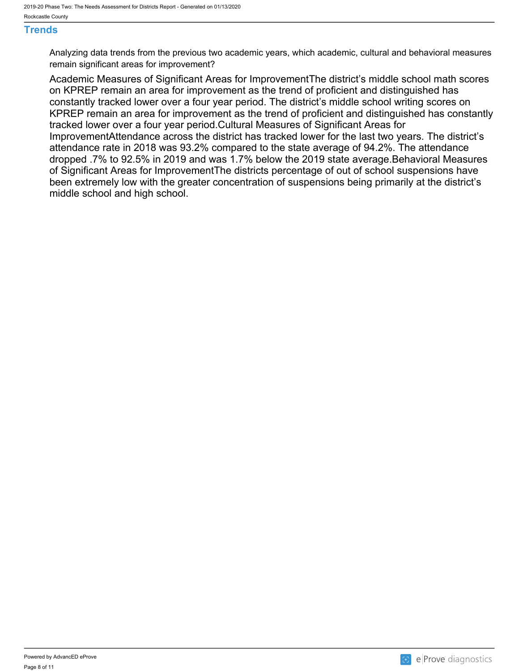#### <span id="page-7-0"></span>**Trends**

Analyzing data trends from the previous two academic years, which academic, cultural and behavioral measures remain significant areas for improvement?

Academic Measures of Significant Areas for ImprovementThe district's middle school math scores on KPREP remain an area for improvement as the trend of proficient and distinguished has constantly tracked lower over a four year period. The district's middle school writing scores on KPREP remain an area for improvement as the trend of proficient and distinguished has constantly tracked lower over a four year period.Cultural Measures of Significant Areas for ImprovementAttendance across the district has tracked lower for the last two years. The district's attendance rate in 2018 was 93.2% compared to the state average of 94.2%. The attendance dropped .7% to 92.5% in 2019 and was 1.7% below the 2019 state average.Behavioral Measures of Significant Areas for ImprovementThe districts percentage of out of school suspensions have been extremely low with the greater concentration of suspensions being primarily at the district's middle school and high school.

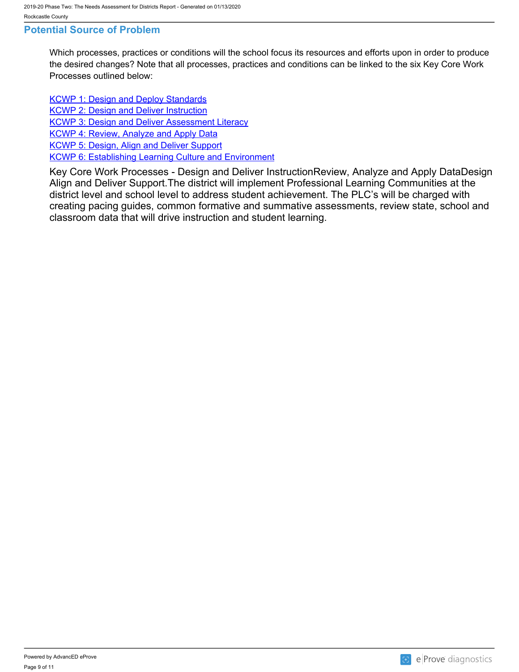#### <span id="page-8-0"></span>**Potential Source of Problem**

Which processes, practices or conditions will the school focus its resources and efforts upon in order to produce the desired changes? Note that all processes, practices and conditions can be linked to the six Key Core Work Processes outlined below:

**[KCWP 1: Design and Deploy Standards](https://education.ky.gov/school/csip/Documents/KCWP 1 Strategic Design and Deploy Standards.pdf)** [KCWP 2: Design and Deliver Instruction](https://education.ky.gov/school/csip/Documents/KCWP%202%20Strategic%20Design%20and%20Deliver%20Instruction.pdf) [KCWP 3: Design and Deliver Assessment Literacy](https://education.ky.gov/school/csip/Documents/KCWP%203%20Strategic%20Design%20and%20Deliver%20Assessment%20Literacy.pdf) [KCWP 4: Review, Analyze and Apply Data](https://education.ky.gov/school/csip/Documents/KCWP 4 Strategic Review Analyze and Apply Data.pdf) [KCWP 5: Design, Align and Deliver Support](https://education.ky.gov/school/csip/Documents/KCWP 5 Strategic Design Align Deliver Support Processes.pdf) **[KCWP 6: Establishing Learning Culture and Environment](https://education.ky.gov/school/csip/Documents/KCWP 6 Strategic Establish Learning Culture and Environment.pdf)** 

Key Core Work Processes - Design and Deliver InstructionReview, Analyze and Apply DataDesign Align and Deliver Support.The district will implement Professional Learning Communities at the district level and school level to address student achievement. The PLC's will be charged with creating pacing guides, common formative and summative assessments, review state, school and classroom data that will drive instruction and student learning.

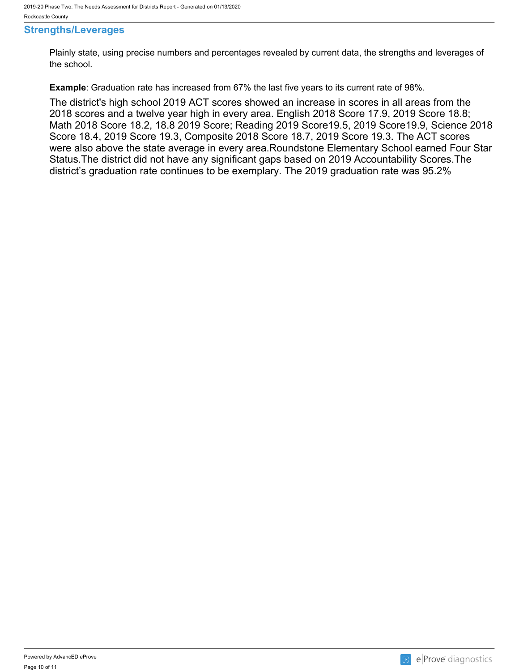#### <span id="page-9-0"></span>**Strengths/Leverages**

Plainly state, using precise numbers and percentages revealed by current data, the strengths and leverages of the school.

**Example**: Graduation rate has increased from 67% the last five years to its current rate of 98%.

The district's high school 2019 ACT scores showed an increase in scores in all areas from the 2018 scores and a twelve year high in every area. English 2018 Score 17.9, 2019 Score 18.8; Math 2018 Score 18.2, 18.8 2019 Score; Reading 2019 Score19.5, 2019 Score19.9, Science 2018 Score 18.4, 2019 Score 19.3, Composite 2018 Score 18.7, 2019 Score 19.3. The ACT scores were also above the state average in every area.Roundstone Elementary School earned Four Star Status.The district did not have any significant gaps based on 2019 Accountability Scores.The district's graduation rate continues to be exemplary. The 2019 graduation rate was 95.2%